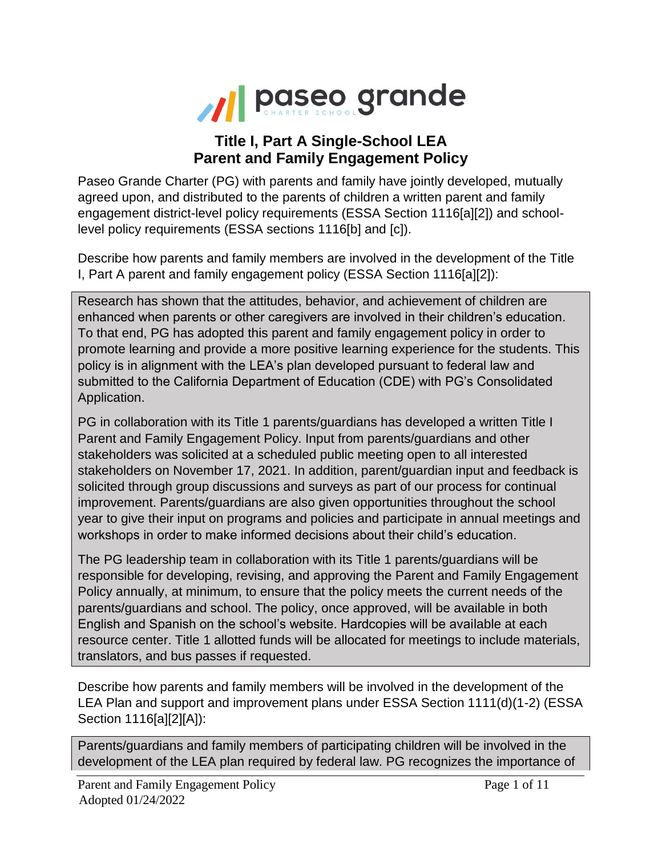

## **Title I, Part A Single-School LEA Parent and Family Engagement Policy**

Paseo Grande Charter (PG) with parents and family have jointly developed, mutually agreed upon, and distributed to the parents of children a written parent and family engagement district-level policy requirements (ESSA Section 1116[a][2]) and schoollevel policy requirements (ESSA sections 1116[b] and [c]).

Describe how parents and family members are involved in the development of the Title I, Part A parent and family engagement policy (ESSA Section 1116[a][2]):

Research has shown that the attitudes, behavior, and achievement of children are enhanced when parents or other caregivers are involved in their children's education. To that end, PG has adopted this parent and family engagement policy in order to promote learning and provide a more positive learning experience for the students. This policy is in alignment with the LEA's plan developed pursuant to federal law and submitted to the California Department of Education (CDE) with PG's Consolidated Application.

PG in collaboration with its Title 1 parents/guardians has developed a written Title I Parent and Family Engagement Policy. Input from parents/guardians and other stakeholders was solicited at a scheduled public meeting open to all interested stakeholders on November 17, 2021. In addition, parent/guardian input and feedback is solicited through group discussions and surveys as part of our process for continual improvement. Parents/guardians are also given opportunities throughout the school year to give their input on programs and policies and participate in annual meetings and workshops in order to make informed decisions about their child's education.

The PG leadership team in collaboration with its Title 1 parents/guardians will be responsible for developing, revising, and approving the Parent and Family Engagement Policy annually, at minimum, to ensure that the policy meets the current needs of the parents/guardians and school. The policy, once approved, will be available in both English and Spanish on the school's website. Hardcopies will be available at each resource center. Title 1 allotted funds will be allocated for meetings to include materials, translators, and bus passes if requested.

Describe how parents and family members will be involved in the development of the LEA Plan and support and improvement plans under ESSA Section 1111(d)(1-2) (ESSA Section 1116[a][2][A]):

Parents/guardians and family members of participating children will be involved in the development of the LEA plan required by federal law. PG recognizes the importance of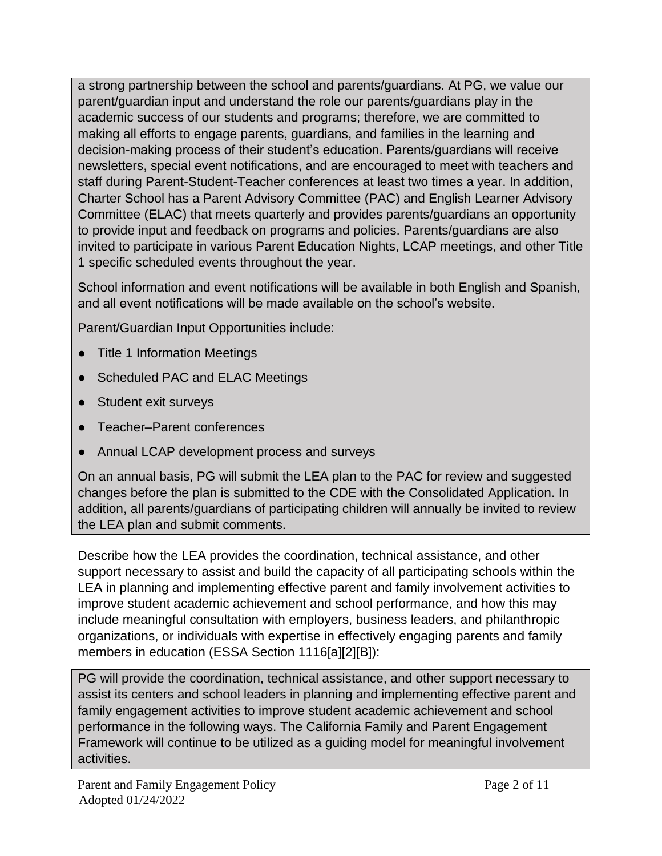a strong partnership between the school and parents/guardians. At PG, we value our parent/guardian input and understand the role our parents/guardians play in the academic success of our students and programs; therefore, we are committed to making all efforts to engage parents, guardians, and families in the learning and decision-making process of their student's education. Parents/guardians will receive newsletters, special event notifications, and are encouraged to meet with teachers and staff during Parent-Student-Teacher conferences at least two times a year. In addition, Charter School has a Parent Advisory Committee (PAC) and English Learner Advisory Committee (ELAC) that meets quarterly and provides parents/guardians an opportunity to provide input and feedback on programs and policies. Parents/guardians are also invited to participate in various Parent Education Nights, LCAP meetings, and other Title 1 specific scheduled events throughout the year.

School information and event notifications will be available in both English and Spanish, and all event notifications will be made available on the school's website.

Parent/Guardian Input Opportunities include:

- Title 1 Information Meetings
- **Scheduled PAC and ELAC Meetings**
- Student exit surveys
- Teacher–Parent conferences
- Annual LCAP development process and surveys

On an annual basis, PG will submit the LEA plan to the PAC for review and suggested changes before the plan is submitted to the CDE with the Consolidated Application. In addition, all parents/guardians of participating children will annually be invited to review the LEA plan and submit comments.

Describe how the LEA provides the coordination, technical assistance, and other support necessary to assist and build the capacity of all participating schools within the LEA in planning and implementing effective parent and family involvement activities to improve student academic achievement and school performance, and how this may include meaningful consultation with employers, business leaders, and philanthropic organizations, or individuals with expertise in effectively engaging parents and family members in education (ESSA Section 1116[a][2][B]):

PG will provide the coordination, technical assistance, and other support necessary to assist its centers and school leaders in planning and implementing effective parent and family engagement activities to improve student academic achievement and school performance in the following ways. The California Family and Parent Engagement Framework will continue to be utilized as a guiding model for meaningful involvement activities.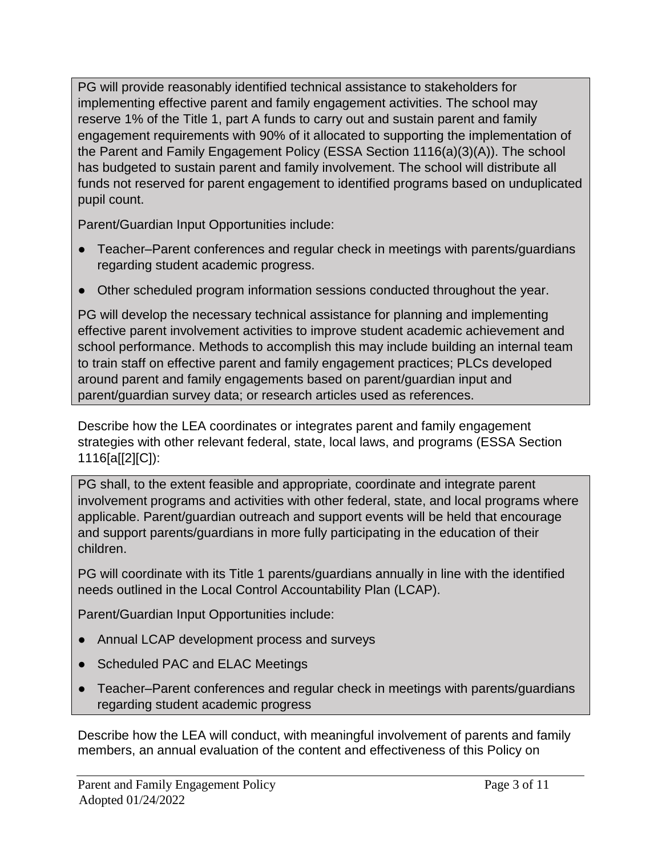PG will provide reasonably identified technical assistance to stakeholders for implementing effective parent and family engagement activities. The school may reserve 1% of the Title 1, part A funds to carry out and sustain parent and family engagement requirements with 90% of it allocated to supporting the implementation of the Parent and Family Engagement Policy (ESSA Section 1116(a)(3)(A)). The school has budgeted to sustain parent and family involvement. The school will distribute all funds not reserved for parent engagement to identified programs based on unduplicated pupil count.

Parent/Guardian Input Opportunities include:

- Teacher–Parent conferences and regular check in meetings with parents/guardians regarding student academic progress.
- Other scheduled program information sessions conducted throughout the year.

PG will develop the necessary technical assistance for planning and implementing effective parent involvement activities to improve student academic achievement and school performance. Methods to accomplish this may include building an internal team to train staff on effective parent and family engagement practices; PLCs developed around parent and family engagements based on parent/guardian input and parent/guardian survey data; or research articles used as references.

Describe how the LEA coordinates or integrates parent and family engagement strategies with other relevant federal, state, local laws, and programs (ESSA Section 1116[a[[2][C]):

PG shall, to the extent feasible and appropriate, coordinate and integrate parent involvement programs and activities with other federal, state, and local programs where applicable. Parent/guardian outreach and support events will be held that encourage and support parents/guardians in more fully participating in the education of their children.

PG will coordinate with its Title 1 parents/guardians annually in line with the identified needs outlined in the Local Control Accountability Plan (LCAP).

Parent/Guardian Input Opportunities include:

- Annual LCAP development process and surveys
- Scheduled PAC and ELAC Meetings
- Teacher–Parent conferences and regular check in meetings with parents/guardians regarding student academic progress

Describe how the LEA will conduct, with meaningful involvement of parents and family members, an annual evaluation of the content and effectiveness of this Policy on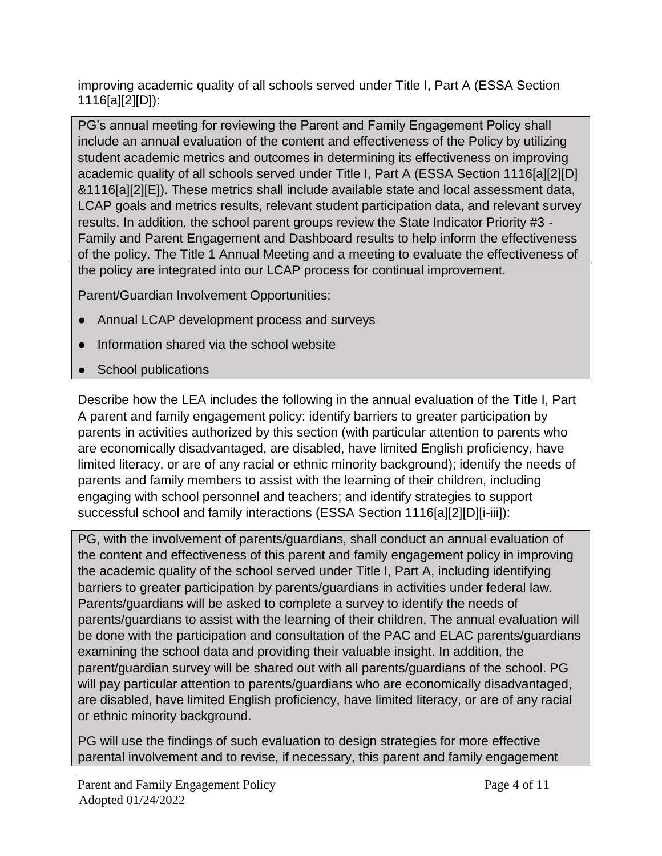improving academic quality of all schools served under Title I, Part A (ESSA Section 1116[a][2][D]):

PG's annual meeting for reviewing the Parent and Family Engagement Policy shall include an annual evaluation of the content and effectiveness of the Policy by utilizing student academic metrics and outcomes in determining its effectiveness on improving academic quality of all schools served under Title I, Part A (ESSA Section 1116[a][2][D] &1116[a][2][E]). These metrics shall include available state and local assessment data, LCAP goals and metrics results, relevant student participation data, and relevant survey results. In addition, the school parent groups review the State Indicator Priority #3 - Family and Parent Engagement and Dashboard results to help inform the effectiveness of the policy. The Title 1 Annual Meeting and a meeting to evaluate the effectiveness of the policy are integrated into our LCAP process for continual improvement.

Parent/Guardian Involvement Opportunities:

- Annual LCAP development process and surveys
- Information shared via the school website
- School publications

Describe how the LEA includes the following in the annual evaluation of the Title I, Part A parent and family engagement policy: identify barriers to greater participation by parents in activities authorized by this section (with particular attention to parents who are economically disadvantaged, are disabled, have limited English proficiency, have limited literacy, or are of any racial or ethnic minority background); identify the needs of parents and family members to assist with the learning of their children, including engaging with school personnel and teachers; and identify strategies to support successful school and family interactions (ESSA Section 1116[a][2][D][i-iii]):

PG, with the involvement of parents/guardians, shall conduct an annual evaluation of the content and effectiveness of this parent and family engagement policy in improving the academic quality of the school served under Title I, Part A, including identifying barriers to greater participation by parents/guardians in activities under federal law. Parents/guardians will be asked to complete a survey to identify the needs of parents/guardians to assist with the learning of their children. The annual evaluation will be done with the participation and consultation of the PAC and ELAC parents/guardians examining the school data and providing their valuable insight. In addition, the parent/guardian survey will be shared out with all parents/guardians of the school. PG will pay particular attention to parents/guardians who are economically disadvantaged, are disabled, have limited English proficiency, have limited literacy, or are of any racial or ethnic minority background.

PG will use the findings of such evaluation to design strategies for more effective parental involvement and to revise, if necessary, this parent and family engagement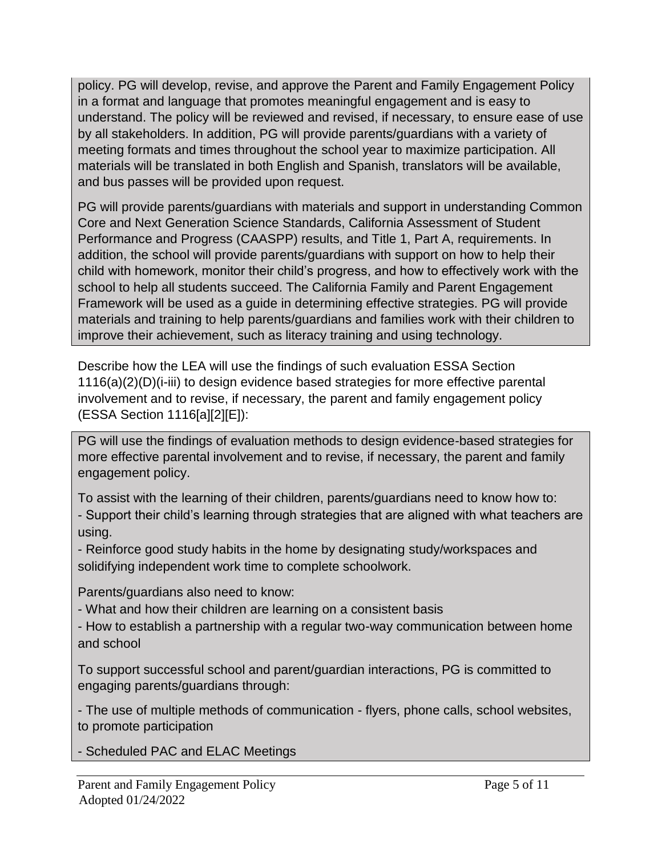policy. PG will develop, revise, and approve the Parent and Family Engagement Policy in a format and language that promotes meaningful engagement and is easy to understand. The policy will be reviewed and revised, if necessary, to ensure ease of use by all stakeholders. In addition, PG will provide parents/guardians with a variety of meeting formats and times throughout the school year to maximize participation. All materials will be translated in both English and Spanish, translators will be available, and bus passes will be provided upon request.

PG will provide parents/guardians with materials and support in understanding Common Core and Next Generation Science Standards, California Assessment of Student Performance and Progress (CAASPP) results, and Title 1, Part A, requirements. In addition, the school will provide parents/guardians with support on how to help their child with homework, monitor their child's progress, and how to effectively work with the school to help all students succeed. The California Family and Parent Engagement Framework will be used as a guide in determining effective strategies. PG will provide materials and training to help parents/guardians and families work with their children to improve their achievement, such as literacy training and using technology.

Describe how the LEA will use the findings of such evaluation ESSA Section 1116(a)(2)(D)(i-iii) to design evidence based strategies for more effective parental involvement and to revise, if necessary, the parent and family engagement policy (ESSA Section 1116[a][2][E]):

PG will use the findings of evaluation methods to design evidence-based strategies for more effective parental involvement and to revise, if necessary, the parent and family engagement policy.

To assist with the learning of their children, parents/guardians need to know how to: - Support their child's learning through strategies that are aligned with what teachers are using.

- Reinforce good study habits in the home by designating study/workspaces and solidifying independent work time to complete schoolwork.

Parents/guardians also need to know:

- What and how their children are learning on a consistent basis

- How to establish a partnership with a regular two-way communication between home and school

To support successful school and parent/guardian interactions, PG is committed to engaging parents/guardians through:

- The use of multiple methods of communication - flyers, phone calls, school websites, to promote participation

- Scheduled PAC and ELAC Meetings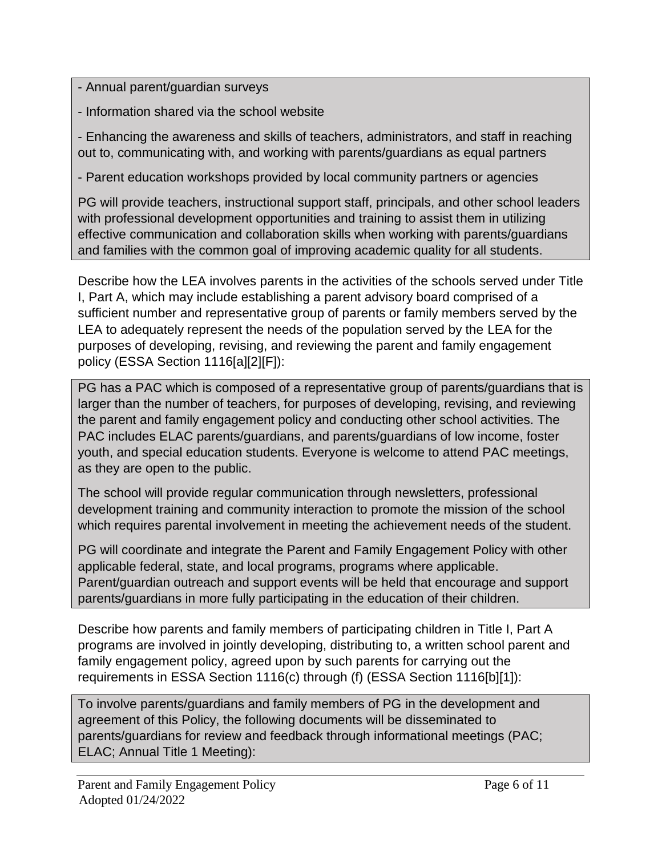- Annual parent/guardian surveys

- Information shared via the school website

- Enhancing the awareness and skills of teachers, administrators, and staff in reaching out to, communicating with, and working with parents/guardians as equal partners

- Parent education workshops provided by local community partners or agencies

PG will provide teachers, instructional support staff, principals, and other school leaders with professional development opportunities and training to assist them in utilizing effective communication and collaboration skills when working with parents/guardians and families with the common goal of improving academic quality for all students.

Describe how the LEA involves parents in the activities of the schools served under Title I, Part A, which may include establishing a parent advisory board comprised of a sufficient number and representative group of parents or family members served by the LEA to adequately represent the needs of the population served by the LEA for the purposes of developing, revising, and reviewing the parent and family engagement policy (ESSA Section 1116[a][2][F]):

PG has a PAC which is composed of a representative group of parents/guardians that is larger than the number of teachers, for purposes of developing, revising, and reviewing the parent and family engagement policy and conducting other school activities. The PAC includes ELAC parents/guardians, and parents/guardians of low income, foster youth, and special education students. Everyone is welcome to attend PAC meetings, as they are open to the public.

The school will provide regular communication through newsletters, professional development training and community interaction to promote the mission of the school which requires parental involvement in meeting the achievement needs of the student.

PG will coordinate and integrate the Parent and Family Engagement Policy with other applicable federal, state, and local programs, programs where applicable. Parent/guardian outreach and support events will be held that encourage and support parents/guardians in more fully participating in the education of their children.

Describe how parents and family members of participating children in Title I, Part A programs are involved in jointly developing, distributing to, a written school parent and family engagement policy, agreed upon by such parents for carrying out the requirements in ESSA Section 1116(c) through (f) (ESSA Section 1116[b][1]):

To involve parents/guardians and family members of PG in the development and agreement of this Policy, the following documents will be disseminated to parents/guardians for review and feedback through informational meetings (PAC; ELAC; Annual Title 1 Meeting):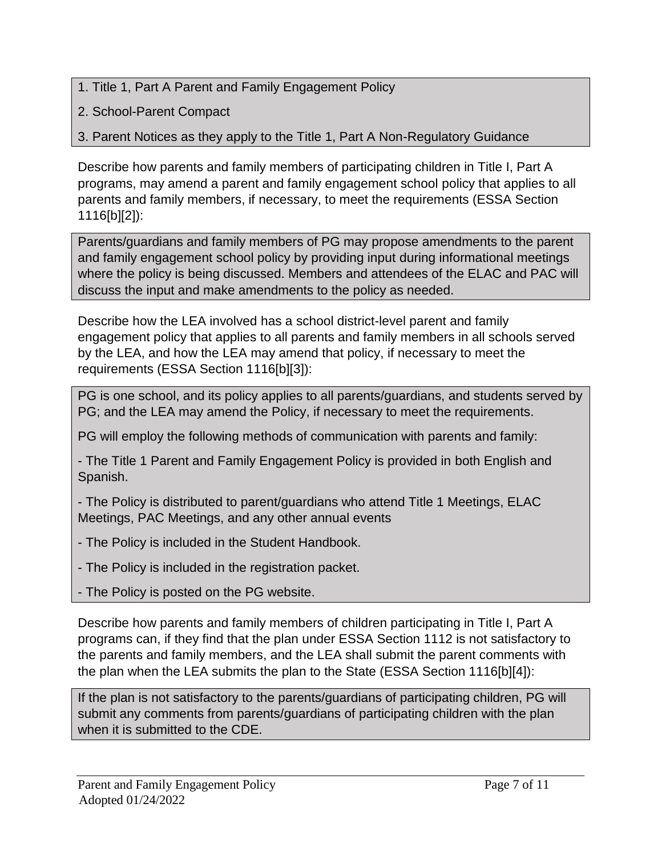- 1. Title 1, Part A Parent and Family Engagement Policy
- 2. School-Parent Compact
- 3. Parent Notices as they apply to the Title 1, Part A Non-Regulatory Guidance

Describe how parents and family members of participating children in Title I, Part A programs, may amend a parent and family engagement school policy that applies to all parents and family members, if necessary, to meet the requirements (ESSA Section 1116[b][2]):

Parents/guardians and family members of PG may propose amendments to the parent and family engagement school policy by providing input during informational meetings where the policy is being discussed. Members and attendees of the ELAC and PAC will discuss the input and make amendments to the policy as needed.

Describe how the LEA involved has a school district-level parent and family engagement policy that applies to all parents and family members in all schools served by the LEA, and how the LEA may amend that policy, if necessary to meet the requirements (ESSA Section 1116[b][3]):

PG is one school, and its policy applies to all parents/guardians, and students served by PG; and the LEA may amend the Policy, if necessary to meet the requirements.

PG will employ the following methods of communication with parents and family:

- The Title 1 Parent and Family Engagement Policy is provided in both English and Spanish.

- The Policy is distributed to parent/guardians who attend Title 1 Meetings, ELAC Meetings, PAC Meetings, and any other annual events

- The Policy is included in the Student Handbook.

- The Policy is included in the registration packet.

- The Policy is posted on the PG website.

Describe how parents and family members of children participating in Title I, Part A programs can, if they find that the plan under ESSA Section 1112 is not satisfactory to the parents and family members, and the LEA shall submit the parent comments with the plan when the LEA submits the plan to the State (ESSA Section 1116[b][4]):

If the plan is not satisfactory to the parents/guardians of participating children, PG will submit any comments from parents/guardians of participating children with the plan when it is submitted to the CDE.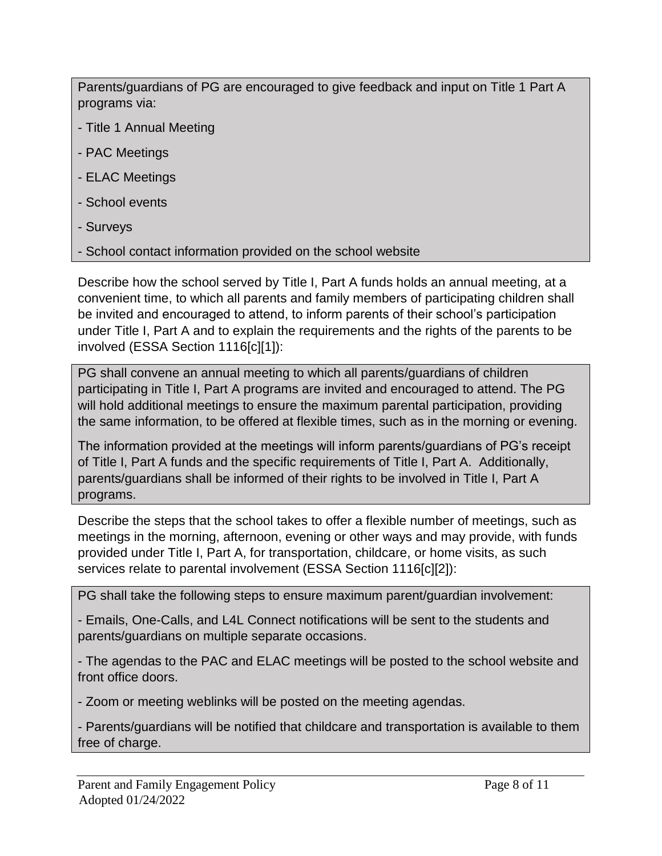Parents/guardians of PG are encouraged to give feedback and input on Title 1 Part A programs via:

- Title 1 Annual Meeting
- PAC Meetings
- ELAC Meetings
- School events
- Surveys
- School contact information provided on the school website

Describe how the school served by Title I, Part A funds holds an annual meeting, at a convenient time, to which all parents and family members of participating children shall be invited and encouraged to attend, to inform parents of their school's participation under Title I, Part A and to explain the requirements and the rights of the parents to be involved (ESSA Section 1116[c][1]):

PG shall convene an annual meeting to which all parents/guardians of children participating in Title I, Part A programs are invited and encouraged to attend. The PG will hold additional meetings to ensure the maximum parental participation, providing the same information, to be offered at flexible times, such as in the morning or evening.

The information provided at the meetings will inform parents/guardians of PG's receipt of Title I, Part A funds and the specific requirements of Title I, Part A. Additionally, parents/guardians shall be informed of their rights to be involved in Title I, Part A programs.

Describe the steps that the school takes to offer a flexible number of meetings, such as meetings in the morning, afternoon, evening or other ways and may provide, with funds provided under Title I, Part A, for transportation, childcare, or home visits, as such services relate to parental involvement (ESSA Section 1116[c][2]):

PG shall take the following steps to ensure maximum parent/guardian involvement:

- Emails, One-Calls, and L4L Connect notifications will be sent to the students and parents/guardians on multiple separate occasions.

- The agendas to the PAC and ELAC meetings will be posted to the school website and front office doors.

- Zoom or meeting weblinks will be posted on the meeting agendas.

- Parents/guardians will be notified that childcare and transportation is available to them free of charge.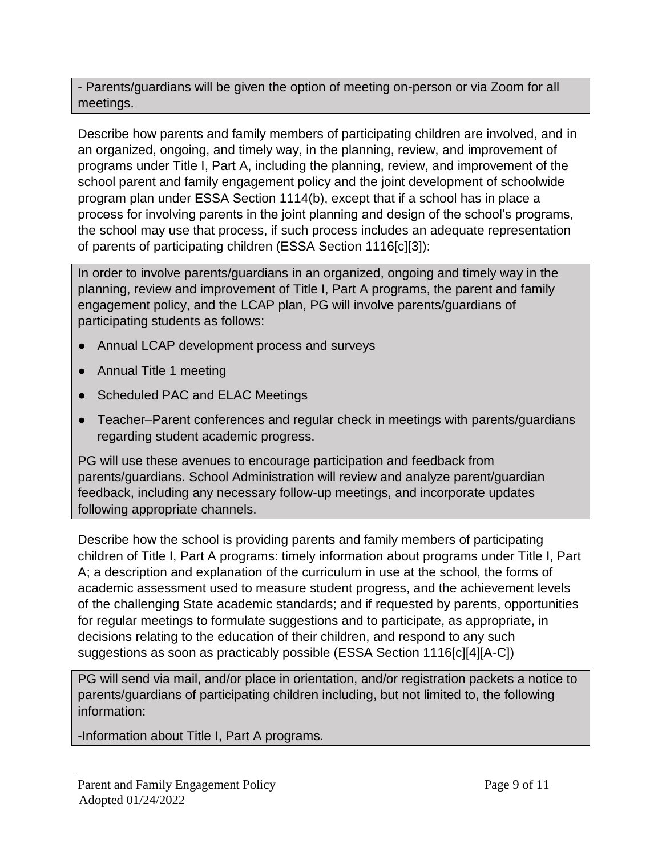- Parents/guardians will be given the option of meeting on-person or via Zoom for all meetings.

Describe how parents and family members of participating children are involved, and in an organized, ongoing, and timely way, in the planning, review, and improvement of programs under Title I, Part A, including the planning, review, and improvement of the school parent and family engagement policy and the joint development of schoolwide program plan under ESSA Section 1114(b), except that if a school has in place a process for involving parents in the joint planning and design of the school's programs, the school may use that process, if such process includes an adequate representation of parents of participating children (ESSA Section 1116[c][3]):

In order to involve parents/guardians in an organized, ongoing and timely way in the planning, review and improvement of Title I, Part A programs, the parent and family engagement policy, and the LCAP plan, PG will involve parents/guardians of participating students as follows:

- Annual LCAP development process and surveys
- Annual Title 1 meeting
- Scheduled PAC and ELAC Meetings
- Teacher–Parent conferences and regular check in meetings with parents/guardians regarding student academic progress.

PG will use these avenues to encourage participation and feedback from parents/guardians. School Administration will review and analyze parent/guardian feedback, including any necessary follow-up meetings, and incorporate updates following appropriate channels.

Describe how the school is providing parents and family members of participating children of Title I, Part A programs: timely information about programs under Title I, Part A; a description and explanation of the curriculum in use at the school, the forms of academic assessment used to measure student progress, and the achievement levels of the challenging State academic standards; and if requested by parents, opportunities for regular meetings to formulate suggestions and to participate, as appropriate, in decisions relating to the education of their children, and respond to any such suggestions as soon as practicably possible (ESSA Section 1116[c][4][A-C])

PG will send via mail, and/or place in orientation, and/or registration packets a notice to parents/guardians of participating children including, but not limited to, the following information:

-Information about Title I, Part A programs.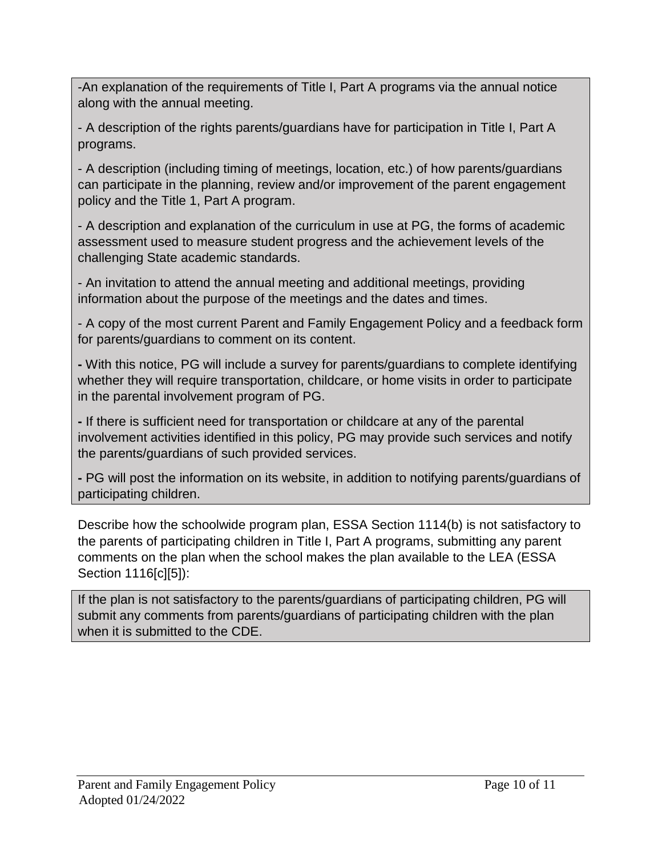-An explanation of the requirements of Title I, Part A programs via the annual notice along with the annual meeting.

- A description of the rights parents/guardians have for participation in Title I, Part A programs.

- A description (including timing of meetings, location, etc.) of how parents/guardians can participate in the planning, review and/or improvement of the parent engagement policy and the Title 1, Part A program.

- A description and explanation of the curriculum in use at PG, the forms of academic assessment used to measure student progress and the achievement levels of the challenging State academic standards.

- An invitation to attend the annual meeting and additional meetings, providing information about the purpose of the meetings and the dates and times.

- A copy of the most current Parent and Family Engagement Policy and a feedback form for parents/guardians to comment on its content.

**-** With this notice, PG will include a survey for parents/guardians to complete identifying whether they will require transportation, childcare, or home visits in order to participate in the parental involvement program of PG.

**-** If there is sufficient need for transportation or childcare at any of the parental involvement activities identified in this policy, PG may provide such services and notify the parents/guardians of such provided services.

**-** PG will post the information on its website, in addition to notifying parents/guardians of participating children.

Describe how the schoolwide program plan, ESSA Section 1114(b) is not satisfactory to the parents of participating children in Title I, Part A programs, submitting any parent comments on the plan when the school makes the plan available to the LEA (ESSA Section 1116[c][5]):

If the plan is not satisfactory to the parents/guardians of participating children, PG will submit any comments from parents/guardians of participating children with the plan when it is submitted to the CDE.